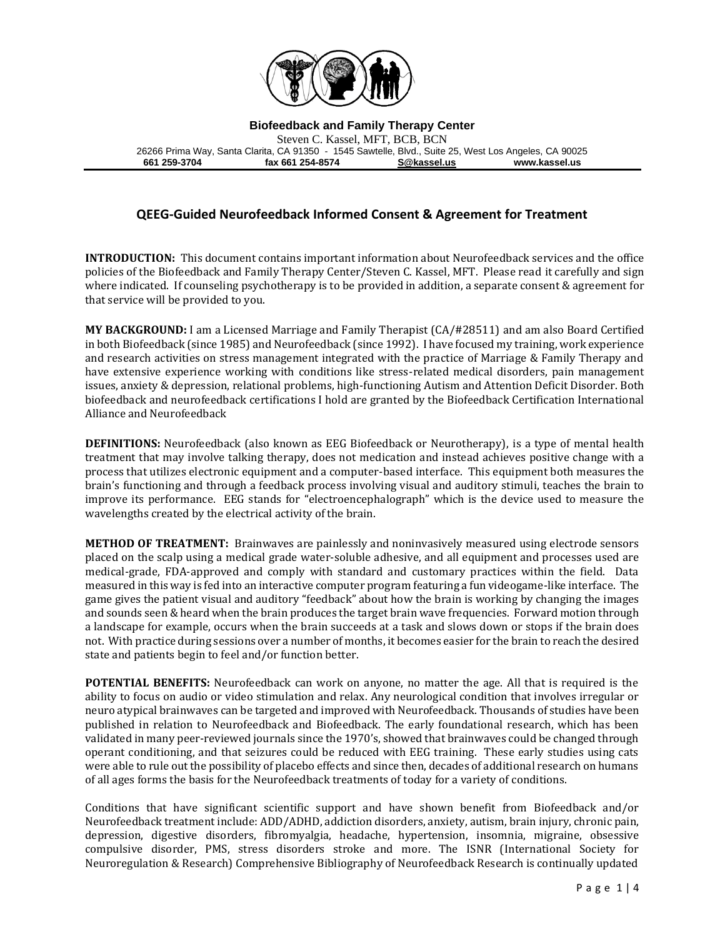

**Biofeedback and Family Therapy Center**

Steven C. Kassel, MFT, BCB, BCN 26266 Prima Way, Santa Clarita, CA 91350 - 1545 Sawtelle, Blvd., Suite 25, West Los Angeles, CA 90025 **661 259-3704 fax 661 254-8574 [S@kassel.us](mailto:S@kassel.us) www.kassel.us**

## **QEEG-Guided Neurofeedback Informed Consent & Agreement for Treatment**

**INTRODUCTION:** This document contains important information about Neurofeedback services and the office policies of the Biofeedback and Family Therapy Center/Steven C. Kassel, MFT. Please read it carefully and sign where indicated. If counseling psychotherapy is to be provided in addition, a separate consent & agreement for that service will be provided to you.

**MY BACKGROUND:** I am a Licensed Marriage and Family Therapist (CA/#28511) and am also Board Certified in both Biofeedback (since 1985) and Neurofeedback (since 1992). I have focused my training, work experience and research activities on stress management integrated with the practice of Marriage & Family Therapy and have extensive experience working with conditions like stress-related medical disorders, pain management issues, anxiety & depression, relational problems, high-functioning Autism and Attention Deficit Disorder. Both biofeedback and neurofeedback certifications I hold are granted by the Biofeedback Certification International Alliance and Neurofeedback

**DEFINITIONS:** Neurofeedback (also known as EEG Biofeedback or Neurotherapy), is a type of mental health treatment that may involve talking therapy, does not medication and instead achieves positive change with a process that utilizes electronic equipment and a computer-based interface. This equipment both measures the brain's functioning and through a feedback process involving visual and auditory stimuli, teaches the brain to improve its performance. EEG stands for "electroencephalograph" which is the device used to measure the wavelengths created by the electrical activity of the brain.

**METHOD OF TREATMENT:** Brainwaves are painlessly and noninvasively measured using electrode sensors placed on the scalp using a medical grade water-soluble adhesive, and all equipment and processes used are medical-grade, FDA-approved and comply with standard and customary practices within the field. Data measured in this way is fed into an interactive computer program featuring a fun videogame-like interface. The game gives the patient visual and auditory "feedback" about how the brain is working by changing the images and sounds seen & heard when the brain produces the target brain wave frequencies. Forward motion through a landscape for example, occurs when the brain succeeds at a task and slows down or stops if the brain does not. With practice during sessions over a number of months, it becomes easier for the brain to reach the desired state and patients begin to feel and/or function better.

**POTENTIAL BENEFITS:** Neurofeedback can work on anyone, no matter the age. All that is required is the ability to focus on audio or video stimulation and relax. Any neurological condition that involves irregular or neuro atypical brainwaves can be targeted and improved with Neurofeedback. Thousands of studies have been published in relation to Neurofeedback and Biofeedback. The early foundational research, which has been validated in many peer-reviewed journals since the 1970's, showed that brainwaves could be changed through operant conditioning, and that seizures could be reduced with EEG training. These early studies using cats were able to rule out the possibility of placebo effects and since then, decades of additional research on humans of all ages forms the basis for the Neurofeedback treatments of today for a variety of conditions.

Conditions that have significant scientific support and have shown benefit from Biofeedback and/or Neurofeedback treatment include: ADD/ADHD, addiction disorders, anxiety, autism, brain injury, chronic pain, depression, digestive disorders, fibromyalgia, headache, hypertension, insomnia, migraine, obsessive compulsive disorder, PMS, stress disorders stroke and more. The ISNR (International Society for Neuroregulation & Research) Comprehensive Bibliography of Neurofeedback Research is continually updated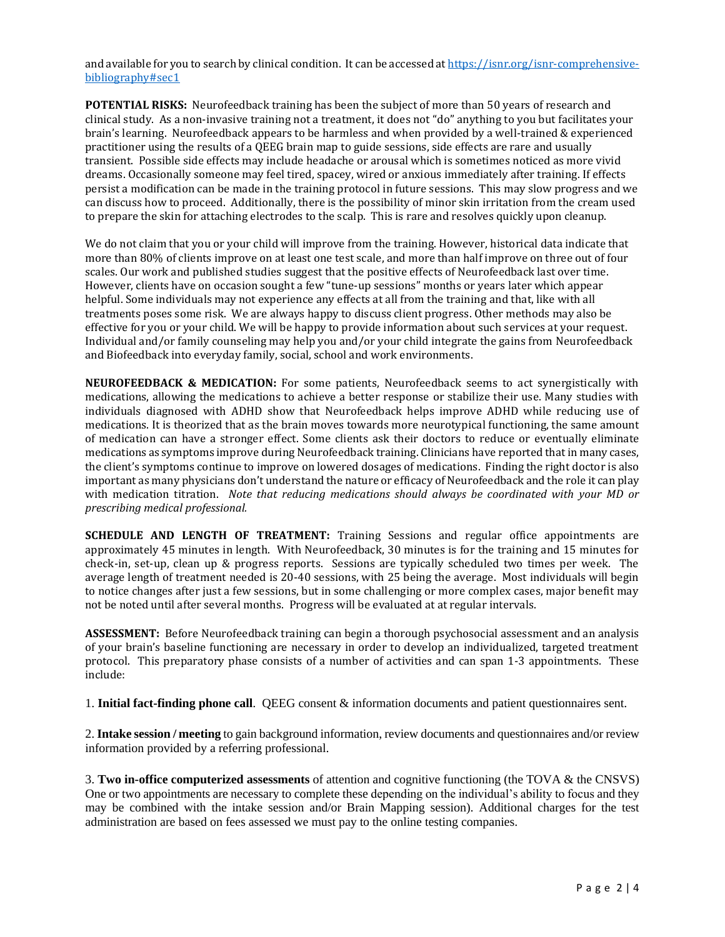and available for you to search by clinical condition. It can be accessed a[t https://isnr.org/isnr-comprehensive](https://isnr.org/isnr-comprehensive-bibliography#sec1)[bibliography#sec1](https://isnr.org/isnr-comprehensive-bibliography#sec1)

**POTENTIAL RISKS:** Neurofeedback training has been the subject of more than 50 years of research and clinical study. As a non-invasive training not a treatment, it does not "do" anything to you but facilitates your brain's learning. Neurofeedback appears to be harmless and when provided by a well-trained & experienced practitioner using the results of a QEEG brain map to guide sessions, side effects are rare and usually transient. Possible side effects may include headache or arousal which is sometimes noticed as more vivid dreams. Occasionally someone may feel tired, spacey, wired or anxious immediately after training. If effects persist a modification can be made in the training protocol in future sessions. This may slow progress and we can discuss how to proceed. Additionally, there is the possibility of minor skin irritation from the cream used to prepare the skin for attaching electrodes to the scalp. This is rare and resolves quickly upon cleanup.

We do not claim that you or your child will improve from the training. However, historical data indicate that more than 80% of clients improve on at least one test scale, and more than half improve on three out of four scales. Our work and published studies suggest that the positive effects of Neurofeedback last over time. However, clients have on occasion sought a few "tune-up sessions" months or years later which appear helpful. Some individuals may not experience any effects at all from the training and that, like with all treatments poses some risk. We are always happy to discuss client progress. Other methods may also be effective for you or your child. We will be happy to provide information about such services at your request. Individual and/or family counseling may help you and/or your child integrate the gains from Neurofeedback and Biofeedback into everyday family, social, school and work environments.

**NEUROFEEDBACK & MEDICATION:** For some patients, Neurofeedback seems to act synergistically with medications, allowing the medications to achieve a better response or stabilize their use. Many studies with individuals diagnosed with ADHD show that Neurofeedback helps improve ADHD while reducing use of medications. It is theorized that as the brain moves towards more neurotypical functioning, the same amount of medication can have a stronger effect. Some clients ask their doctors to reduce or eventually eliminate medications as symptoms improve during Neurofeedback training. Clinicians have reported that in many cases, the client's symptoms continue to improve on lowered dosages of medications. Finding the right doctor is also important as many physicians don't understand the nature or efficacy of Neurofeedback and the role it can play with medication titration. *Note that reducing medications should always be coordinated with your MD or prescribing medical professional.*

**SCHEDULE AND LENGTH OF TREATMENT:** Training Sessions and regular office appointments are approximately 45 minutes in length. With Neurofeedback, 30 minutes is for the training and 15 minutes for check-in, set-up, clean up & progress reports. Sessions are typically scheduled two times per week. The average length of treatment needed is 20-40 sessions, with 25 being the average. Most individuals will begin to notice changes after just a few sessions, but in some challenging or more complex cases, major benefit may not be noted until after several months. Progress will be evaluated at at regular intervals.

**ASSESSMENT:** Before Neurofeedback training can begin a thorough psychosocial assessment and an analysis of your brain's baseline functioning are necessary in order to develop an individualized, targeted treatment protocol. This preparatory phase consists of a number of activities and can span 1-3 appointments. These include:

1. **Initial fact-finding phone call**. QEEG consent & information documents and patient questionnaires sent.

2. **Intake session / meeting** to gain background information, review documents and questionnaires and/or review information provided by a referring professional.

3. **Two in-office computerized assessments** of attention and cognitive functioning (the TOVA & the CNSVS) One or two appointments are necessary to complete these depending on the individual's ability to focus and they may be combined with the intake session and/or Brain Mapping session). Additional charges for the test administration are based on fees assessed we must pay to the online testing companies.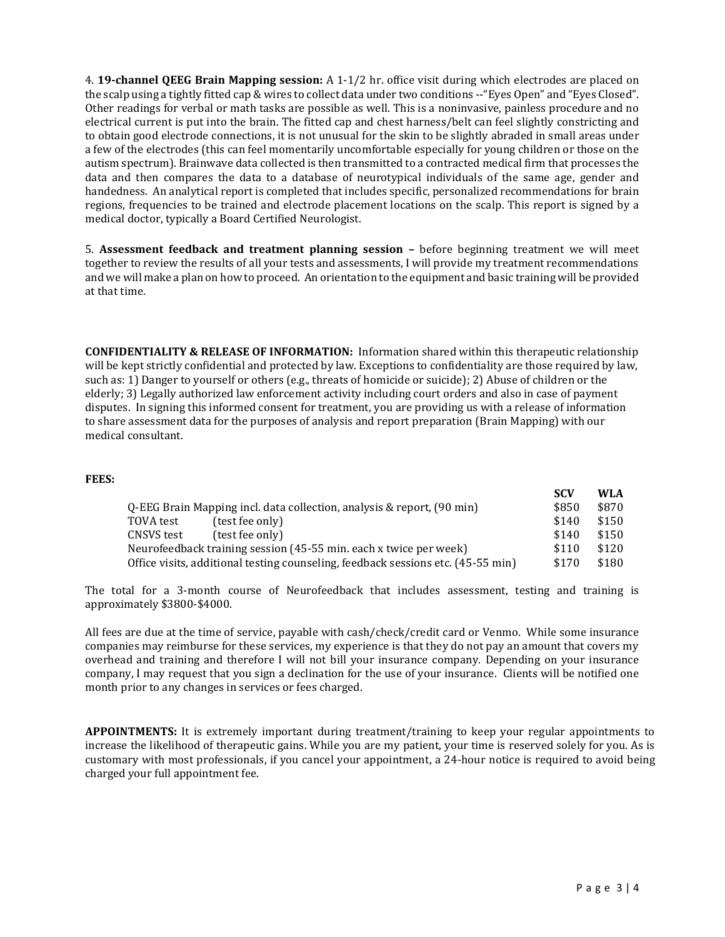4. **19-channel QEEG Brain Mapping session:** A 1-1/2 hr. office visit during which electrodes are placed on the scalp using a tightly fitted cap & wires to collect data under two conditions --"Eyes Open" and "Eyes Closed". Other readings for verbal or math tasks are possible as well. This is a noninvasive, painless procedure and no electrical current is put into the brain. The fitted cap and chest harness/belt can feel slightly constricting and to obtain good electrode connections, it is not unusual for the skin to be slightly abraded in small areas under a few of the electrodes (this can feel momentarily uncomfortable especially for young children or those on the autism spectrum). Brainwave data collected is then transmitted to a contracted medical firm that processes the data and then compares the data to a database of neurotypical individuals of the same age, gender and handedness. An analytical report is completed that includes specific, personalized recommendations for brain regions, frequencies to be trained and electrode placement locations on the scalp. This report is signed by a medical doctor, typically a Board Certified Neurologist.

5. **Assessment feedback and treatment planning session –** before beginning treatment we will meet together to review the results of all your tests and assessments, I will provide my treatment recommendations and we will make a plan on how to proceed. An orientation to the equipment and basic training will be provided at that time.

**CONFIDENTIALITY & RELEASE OF INFORMATION:** Information shared within this therapeutic relationship will be kept strictly confidential and protected by law. Exceptions to confidentiality are those required by law, such as: 1) Danger to yourself or others (e.g., threats of homicide or suicide); 2) Abuse of children or the elderly; 3) Legally authorized law enforcement activity including court orders and also in case of payment disputes. In signing this informed consent for treatment, you are providing us with a release of information to share assessment data for the purposes of analysis and report preparation (Brain Mapping) with our medical consultant.

## **FEES:**

|                                                                                  | -SUV  | WLA.  |
|----------------------------------------------------------------------------------|-------|-------|
| Q-EEG Brain Mapping incl. data collection, analysis & report, (90 min)           | \$850 | \$870 |
| (test fee only)<br>TOVA test                                                     | \$140 | \$150 |
| (test fee only)<br>CNSVS test                                                    | \$140 | \$150 |
| Neurofeedback training session (45-55 min. each x twice per week)                | \$110 | \$120 |
| Office visits, additional testing counseling, feedback sessions etc. (45-55 min) | \$170 | \$180 |

The total for a 3-month course of Neurofeedback that includes assessment, testing and training is approximately \$3800-\$4000.

All fees are due at the time of service, payable with cash/check/credit card or Venmo. While some insurance companies may reimburse for these services, my experience is that they do not pay an amount that covers my overhead and training and therefore I will not bill your insurance company. Depending on your insurance company, I may request that you sign a declination for the use of your insurance. Clients will be notified one month prior to any changes in services or fees charged.

**APPOINTMENTS:** It is extremely important during treatment/training to keep your regular appointments to increase the likelihood of therapeutic gains. While you are my patient, your time is reserved solely for you. As is customary with most professionals, if you cancel your appointment, a 24-hour notice is required to avoid being charged your full appointment fee.

SC<sup>N</sup> W<sub>1</sub>